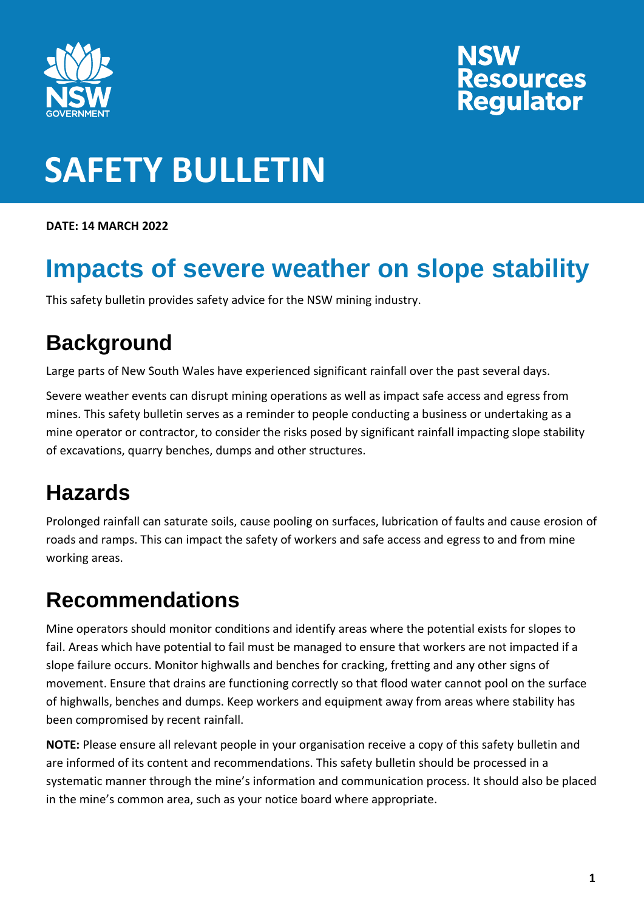

# **NSW<br>Resources<br>Regulator**

### **SAFETY BULLETIN**

**DATE: 14 MARCH 2022**

### **Impacts of severe weather on slope stability**

This safety bulletin provides safety advice for the NSW mining industry.

#### **Background**

Large parts of New South Wales have experienced significant rainfall over the past several days.

Severe weather events can disrupt mining operations as well as impact safe access and egress from mines. This safety bulletin serves as a reminder to people conducting a business or undertaking as a mine operator or contractor, to consider the risks posed by significant rainfall impacting slope stability of excavations, quarry benches, dumps and other structures.

#### **Hazards**

Prolonged rainfall can saturate soils, cause pooling on surfaces, lubrication of faults and cause erosion of roads and ramps. This can impact the safety of workers and safe access and egress to and from mine working areas.

#### **Recommendations**

Mine operators should monitor conditions and identify areas where the potential exists for slopes to fail. Areas which have potential to fail must be managed to ensure that workers are not impacted if a slope failure occurs. Monitor highwalls and benches for cracking, fretting and any other signs of movement. Ensure that drains are functioning correctly so that flood water cannot pool on the surface of highwalls, benches and dumps. Keep workers and equipment away from areas where stability has been compromised by recent rainfall.

**NOTE:** Please ensure all relevant people in your organisation receive a copy of this safety bulletin and are informed of its content and recommendations. This safety bulletin should be processed in a systematic manner through the mine's information and communication process. It should also be placed in the mine's common area, such as your notice board where appropriate.